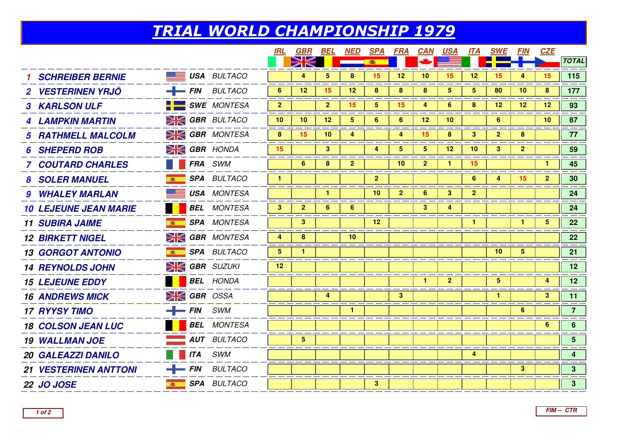## TRIAL WORLD CHAMPIONSHIP 1979

|                                    |                            | <b>IRL</b>     | GBR             | BEL             | NED            | <u>SPA</u>      | <b>FRA</b>     | <b>CAN</b>      | <u>USA</u>              |                 | <b>ITA SWE</b>  | <i>FIN</i>     | <b>CZE</b>      |                         |
|------------------------------------|----------------------------|----------------|-----------------|-----------------|----------------|-----------------|----------------|-----------------|-------------------------|-----------------|-----------------|----------------|-----------------|-------------------------|
|                                    |                            |                | $\geqslant$     |                 |                | 春               |                |                 |                         |                 |                 |                |                 | <b>TOTAL</b>            |
| <b>SCHREIBER BERNIE</b>            | <b>USA BULTACO</b>         |                | 4               | 5               | 8              | 15              | 12             | 10              | 15                      | 12 <sub>2</sub> | 15              | 4              | 15              | 115                     |
| <b>2 VESTERINEN YRJÖ</b>           | $-$ FIN BULTACO            | 6              | 12              | 15              | 12             | 8               | 8              | 8               | $\overline{\mathbf{5}}$ | 5               | 80              | 10             | 8               | 177                     |
| <b>3 KARLSON ULF</b>               | $\blacksquare$ SWE MONTESA | $\overline{2}$ |                 | $\overline{2}$  | 15             | 5 <sup>1</sup>  | 15             | 4               | 6                       | 8               | 12 <sub>2</sub> | 12             | 12              | 93                      |
| <b>4 LAMPKIN MARTIN</b>            | <b>SK GBR</b> BULTACO      | 10             | 10 <sup>°</sup> | 12 <sup>2</sup> | 5              | 6               | 6              | 12 <sup>2</sup> | 10                      |                 | 6               |                | 10 <sup>°</sup> | 87                      |
| <b>5 RATHMELL MALCOLM</b>          | <b>SIGBR</b> MONTESA       | 8              | 15              | 10              | 4              |                 | 4              | 15              | 8                       | $\mathbf{3}$    | $\overline{2}$  | 8              |                 | 77                      |
| <b>SHEPERD ROB</b>                 | $\geq$ GBR HONDA           | 15             |                 | $\mathbf{3}$    |                | 4               | 5 <sup>5</sup> | $5\overline{)}$ | 12                      | 10              | 3 <sup>1</sup>  | $\overline{2}$ |                 | 59                      |
| <b>7 COUTARD CHARLES</b>           | <b>FRA</b> SWM             |                | 6               | 8               | $\overline{2}$ |                 | 10             | $\mathbf{2}$    | $\mathbf{1}$            | 15              |                 |                |                 | 45                      |
| <b>8 SOLER MANUEL</b>              | <b>SPA BULTACO</b>         | $\mathbf{1}$   |                 |                 |                | 2 <sub>2</sub>  |                |                 |                         | 6               | $\overline{4}$  | 15             | 2 <sup>2</sup>  | 30 <sub>o</sub>         |
| <b>9 WHALEY MARLAN</b>             | <b>USA</b> MONTESA         |                |                 | $\mathbf{1}$    |                | 10 <sub>1</sub> | 2 <sup>2</sup> | 6               | $\mathbf{3}$            | $\overline{2}$  |                 |                |                 | 24                      |
| <b>10 LEJEUNE JEAN MARIE</b>       | <b>BEL</b> MONTESA         | 3 <sup>2</sup> | $\mathbf{2}$    | 6               | 6              |                 |                | 3               | 4                       |                 |                 |                |                 | 24                      |
| <b>B</b><br><b>11 SUBIRA JAIME</b> | <b>SPA</b> MONTESA         |                | 3               |                 |                | 12 <sub>2</sub> |                |                 |                         | $\mathbf{1}$    |                 | $\mathbf{1}$   | $5^{\circ}$     | 22                      |
| <b>12 BIRKETT NIGEL</b>            | <b>SIGBR</b> MONTESA       | 4              | 8               |                 | 10             |                 |                |                 |                         |                 |                 |                |                 | 22                      |
| <b>13 GORGOT ANTONIO</b>           | <b>SPA BULTACO</b>         | 5              | 1               |                 |                |                 |                |                 |                         |                 | 10 <sup>°</sup> | $5^{\circ}$    |                 | 21                      |
| <b>14 REYNOLDS JOHN</b>            | $\geq$ GBR SUZUKI          | 12             |                 |                 |                |                 |                |                 |                         |                 |                 |                |                 | 12 <sub>2</sub>         |
| <b>15 LEJEUNE EDDY</b>             | <b>BEL</b> HONDA           |                |                 |                 |                |                 |                | $\mathbf{1}$    | 2 <sup>2</sup>          |                 | 5 <sup>5</sup>  |                | 4               | 12 <sup>7</sup>         |
| <b>16 ANDREWS MICK</b>             | <b>EXECUTE GBR</b> OSSA    |                |                 | 4               |                |                 | 3 <sup>2</sup> |                 |                         |                 | $\mathbf{1}$    |                | 3               | 11                      |
| <b>17 RYYSY TIMO</b>               | $-$ FIN SWM                |                |                 |                 |                |                 |                |                 |                         |                 |                 | 6              |                 | $\overline{7}$          |
| <b>18 COLSON JEAN LUC</b>          | <b>BEL</b> MONTESA         |                |                 |                 |                |                 |                |                 |                         |                 |                 |                | 6               | 6 <sup>1</sup>          |
| <b>19 WALLMAN JOE</b>              | <b>AUT</b> BULTACO         |                | $5\phantom{.0}$ |                 |                |                 |                |                 |                         |                 |                 |                |                 | 5 <sup>1</sup>          |
| <b>20 GALEAZZI DANILO</b>          | <b>ITA</b> SWM             |                |                 |                 |                |                 |                |                 |                         | 4               |                 |                |                 | $\overline{\mathbf{4}}$ |
| <b>21 VESTERINEN ANTTONI</b>       | $-$ FIN BULTACO            |                |                 |                 |                |                 |                |                 |                         |                 |                 | 3 <sup>2</sup> |                 | 3 <sup>7</sup>          |
| <b>22 JO JOSE</b><br>高             | <b>SPA BULTACO</b>         |                |                 |                 |                | 3 <sup>1</sup>  |                |                 |                         |                 |                 |                |                 | 3 <sup>7</sup>          |